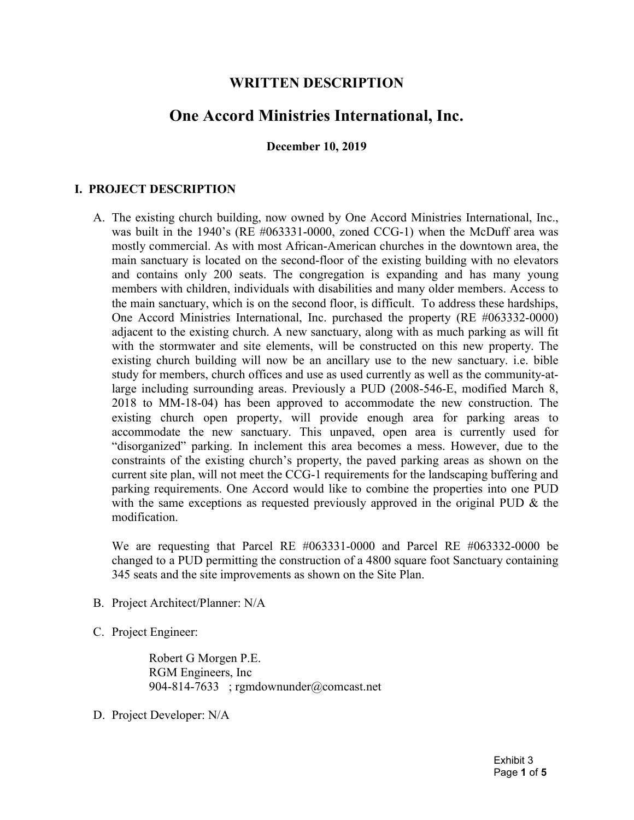## WRITTEN DESCRIPTION

# One Accord Ministries International, Inc.

December 10, 2019

## I. PROJECT DESCRIPTION

 A. The existing church building, now owned by One Accord Ministries International, Inc., was built in the 1940's (RE #063331-0000, zoned CCG-1) when the McDuff area was mostly commercial. As with most African-American churches in the downtown area, the main sanctuary is located on the second-floor of the existing building with no elevators and contains only 200 seats. The congregation is expanding and has many young members with children, individuals with disabilities and many older members. Access to the main sanctuary, which is on the second floor, is difficult. To address these hardships, One Accord Ministries International, Inc. purchased the property (RE #063332-0000) adjacent to the existing church. A new sanctuary, along with as much parking as will fit with the stormwater and site elements, will be constructed on this new property. The existing church building will now be an ancillary use to the new sanctuary. i.e. bible study for members, church offices and use as used currently as well as the community-at- large including surrounding areas. Previously a PUD (2008-546-E, modified March 8, 2018 to MM-18-04) has been approved to accommodate the new construction. The existing church open property, will provide enough area for parking areas to accommodate the new sanctuary. This unpaved, open area is currently used for "disorganized" parking. In inclement this area becomes a mess. However, due to the constraints of the existing church's property, the paved parking areas as shown on the current site plan, will not meet the CCG-1 requirements for the landscaping buffering and parking requirements. One Accord would like to combine the properties into one PUD with the same exceptions as requested previously approved in the original PUD & the modification.

 We are requesting that Parcel RE #063331-0000 and Parcel RE #063332-0000 be changed to a PUD permitting the construction of a 4800 square foot Sanctuary containing 345 seats and the site improvements as shown on the Site Plan.

- B. Project Architect/Planner: N/A
- C. Project Engineer:

Robert G Morgen P.E. RGM Engineers, Inc 904-814-7633 ; rgmdownunder@comcast.net

D. Project Developer: N/A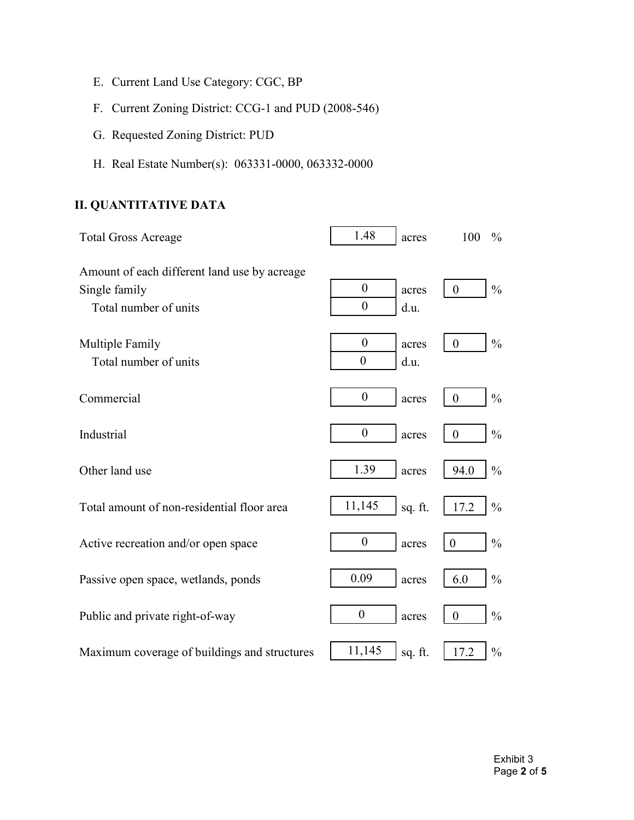- E. Current Land Use Category: CGC, BP
- F. Current Zoning District: CCG-1 and PUD (2008-546)
- G. Requested Zoning District: PUD
- H. Real Estate Number(s): 063331-0000, 063332-0000

## II. QUANTITATIVE DATA

| <b>Total Gross Acreage</b>                                                             | 1.48                               | acres         | 100            | $\frac{0}{0}$ |
|----------------------------------------------------------------------------------------|------------------------------------|---------------|----------------|---------------|
| Amount of each different land use by acreage<br>Single family<br>Total number of units | $\boldsymbol{0}$<br>$\overline{0}$ | acres<br>d.u. | $\overline{0}$ | $\frac{0}{0}$ |
| Multiple Family<br>Total number of units                                               | $\overline{0}$<br>$\overline{0}$   | acres<br>d.u. | $\overline{0}$ | $\frac{0}{0}$ |
| Commercial                                                                             | $\boldsymbol{0}$                   | acres         | $\overline{0}$ | $\frac{0}{0}$ |
| Industrial                                                                             | $\boldsymbol{0}$                   | acres         | $\overline{0}$ | $\frac{0}{0}$ |
| Other land use                                                                         | 1.39                               | acres         | 94.0           | $\frac{0}{0}$ |
| Total amount of non-residential floor area                                             | 11,145                             | sq. ft.       | 17.2           | $\frac{0}{0}$ |
| Active recreation and/or open space                                                    | $\boldsymbol{0}$                   | acres         | $\overline{0}$ | $\frac{0}{0}$ |
| Passive open space, wetlands, ponds                                                    | 0.09                               | acres         | 6.0            | $\frac{0}{0}$ |
| Public and private right-of-way                                                        | $\boldsymbol{0}$                   | acres         | $\mathbf{0}$   | $\frac{0}{0}$ |
| Maximum coverage of buildings and structures                                           | 11,145                             | sq. ft.       | 17.2           | $\frac{0}{0}$ |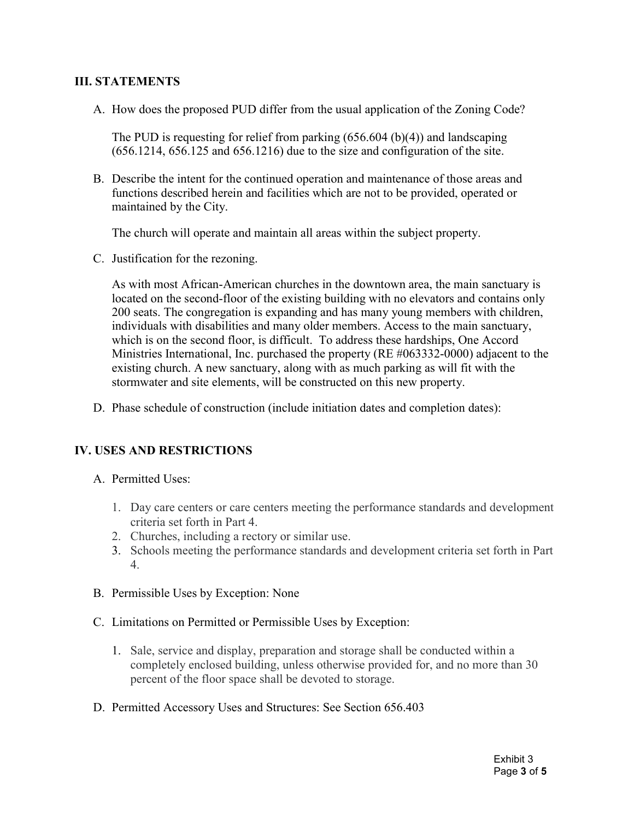#### III. STATEMENTS

A. How does the proposed PUD differ from the usual application of the Zoning Code?

The PUD is requesting for relief from parking (656.604 (b)(4)) and landscaping (656.1214, 656.125 and 656.1216) due to the size and configuration of the site.

maintained by the City. B. Describe the intent for the continued operation and maintenance of those areas and functions described herein and facilities which are not to be provided, operated or

The church will operate and maintain all areas within the subject property.

C. Justification for the rezoning.

 As with most African-American churches in the downtown area, the main sanctuary is 200 seats. The congregation is expanding and has many young members with children, existing church. A new sanctuary, along with as much parking as will fit with the located on the second-floor of the existing building with no elevators and contains only individuals with disabilities and many older members. Access to the main sanctuary, which is on the second floor, is difficult. To address these hardships, One Accord Ministries International, Inc. purchased the property (RE #063332-0000) adjacent to the stormwater and site elements, will be constructed on this new property.

D. Phase schedule of construction (include initiation dates and completion dates):

#### IV. USES AND RESTRICTIONS

- A. Permitted Uses:
	- 1. Day care centers or care centers meeting the performance standards and development criteria set forth in Part 4.
	- 2. Churches, including a rectory or similar use.
	- 3. Schools meeting the performance standards and development criteria set forth in Part 4.
- B. Permissible Uses by Exception: None
- C. Limitations on Permitted or Permissible Uses by Exception:
	- 1. Sale, service and display, preparation and storage shall be conducted within a completely enclosed building, unless otherwise provided for, and no more than 30 percent of the floor space shall be devoted to storage.
- D. Permitted Accessory Uses and Structures: See Section 656.403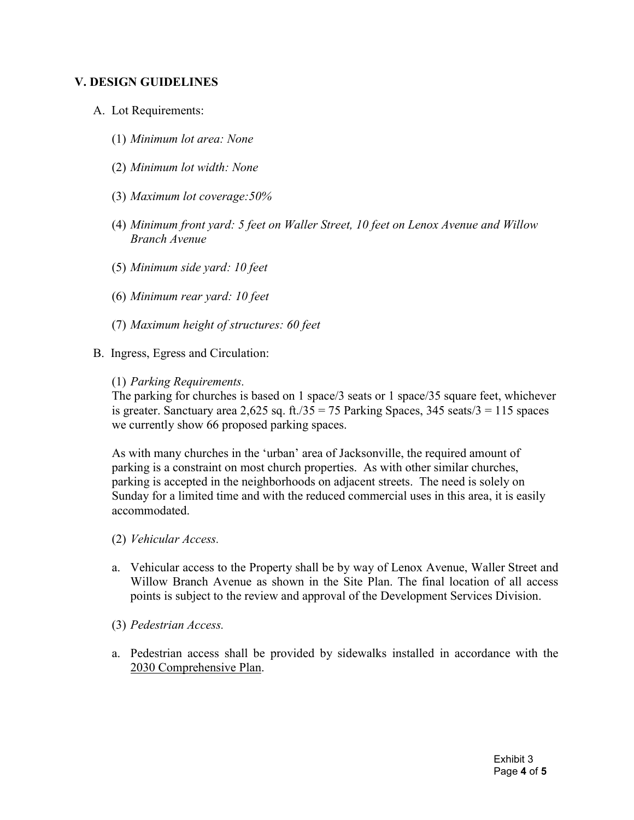#### V. DESIGN GUIDELINES

- A. Lot Requirements:
	- (1) Minimum lot area: None
	- (2) Minimum lot width: None
	- (3) Maximum lot coverage:50%
	- (4) Minimum front yard: 5 feet on Waller Street, 10 feet on Lenox Avenue and Willow Branch Avenue
	- (5) Minimum side yard: 10 feet
	- (6) Minimum rear yard: 10 feet
	- (7) Maximum height of structures: 60 feet
- B. Ingress, Egress and Circulation:
	- (1) Parking Requirements.

The parking for churches is based on 1 space/3 seats or 1 space/35 square feet, whichever is greater. Sanctuary area 2,625 sq. ft./35 = 75 Parking Spaces, 345 seats/3 = 115 spaces we currently show 66 proposed parking spaces.

 parking is accepted in the neighborhoods on adjacent streets. The need is solely on As with many churches in the 'urban' area of Jacksonville, the required amount of parking is a constraint on most church properties. As with other similar churches, Sunday for a limited time and with the reduced commercial uses in this area, it is easily accommodated.

- (2) Vehicular Access.
- a. Vehicular access to the Property shall be by way of Lenox Avenue, Waller Street and Willow Branch Avenue as shown in the Site Plan. The final location of all access points is subject to the review and approval of the Development Services Division.
- (3) Pedestrian Access.
- a. Pedestrian access shall be provided by sidewalks installed in accordance with the 2030 Comprehensive Plan.